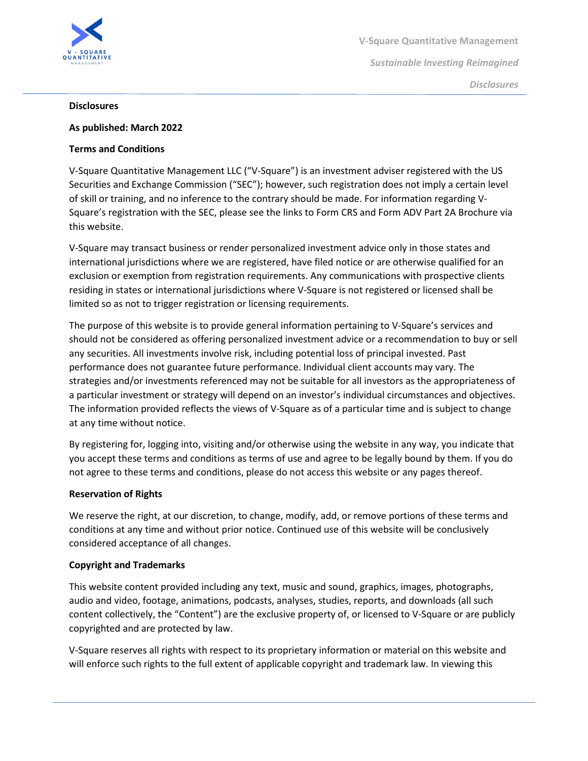

#### **Disclosures**

### **As published: March 2022**

### **Terms and Conditions**

V-Square Quantitative Management LLC ("V-Square") is an investment adviser registered with the US Securities and Exchange Commission ("SEC"); however, such registration does not imply a certain level of skill or training, and no inference to the contrary should be made. For information regarding V-Square's registration with the SEC, please see the links to Form CRS and Form ADV Part 2A Brochure via this website.

V-Square may transact business or render personalized investment advice only in those states and international jurisdictions where we are registered, have filed notice or are otherwise qualified for an exclusion or exemption from registration requirements. Any communications with prospective clients residing in states or international jurisdictions where V-Square is not registered or licensed shall be limited so as not to trigger registration or licensing requirements.

The purpose of this website is to provide general information pertaining to V-Square's services and should not be considered as offering personalized investment advice or a recommendation to buy or sell any securities. All investments involve risk, including potential loss of principal invested. Past performance does not guarantee future performance. Individual client accounts may vary. The strategies and/or investments referenced may not be suitable for all investors as the appropriateness of a particular investment or strategy will depend on an investor's individual circumstances and objectives. The information provided reflects the views of V-Square as of a particular time and is subject to change at any time without notice.

By registering for, logging into, visiting and/or otherwise using the website in any way, you indicate that you accept these terms and conditions as terms of use and agree to be legally bound by them. If you do not agree to these terms and conditions, please do not access this website or any pages thereof.

#### **Reservation of Rights**

We reserve the right, at our discretion, to change, modify, add, or remove portions of these terms and conditions at any time and without prior notice. Continued use of this website will be conclusively considered acceptance of all changes.

## **Copyright and Trademarks**

This website content provided including any text, music and sound, graphics, images, photographs, audio and video, footage, animations, podcasts, analyses, studies, reports, and downloads (all such content collectively, the "Content") are the exclusive property of, or licensed to V-Square or are publicly copyrighted and are protected by law.

V-Square reserves all rights with respect to its proprietary information or material on this website and will enforce such rights to the full extent of applicable copyright and trademark law. In viewing this